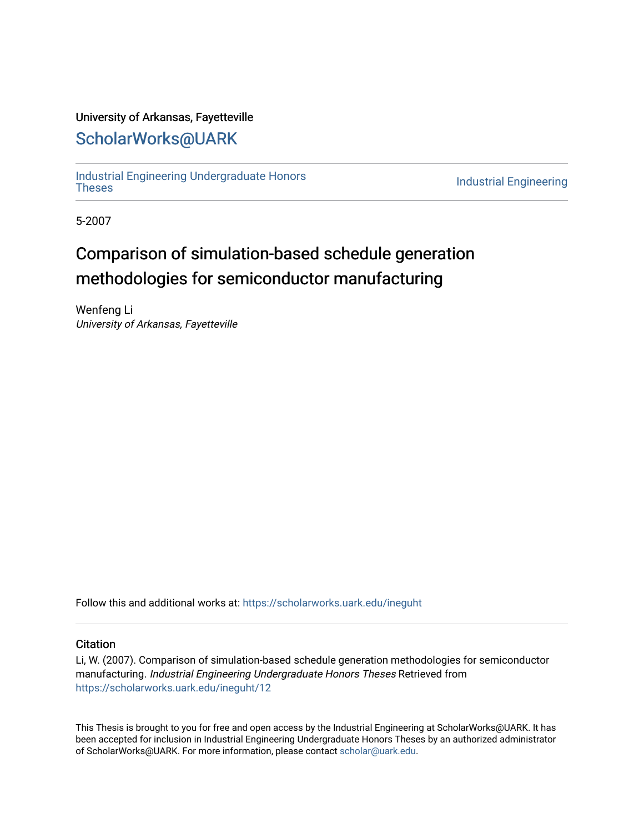# University of Arkansas, Fayetteville

# [ScholarWorks@UARK](https://scholarworks.uark.edu/)

[Industrial Engineering Undergraduate Honors](https://scholarworks.uark.edu/ineguht)

**Industrial Engineering** 

5-2007

# Comparison of simulation-based schedule generation methodologies for semiconductor manufacturing

Wenfeng Li University of Arkansas, Fayetteville

Follow this and additional works at: [https://scholarworks.uark.edu/ineguht](https://scholarworks.uark.edu/ineguht?utm_source=scholarworks.uark.edu%2Fineguht%2F12&utm_medium=PDF&utm_campaign=PDFCoverPages)

## **Citation**

Li, W. (2007). Comparison of simulation-based schedule generation methodologies for semiconductor manufacturing. Industrial Engineering Undergraduate Honors Theses Retrieved from [https://scholarworks.uark.edu/ineguht/12](https://scholarworks.uark.edu/ineguht/12?utm_source=scholarworks.uark.edu%2Fineguht%2F12&utm_medium=PDF&utm_campaign=PDFCoverPages) 

This Thesis is brought to you for free and open access by the Industrial Engineering at ScholarWorks@UARK. It has been accepted for inclusion in Industrial Engineering Undergraduate Honors Theses by an authorized administrator of ScholarWorks@UARK. For more information, please contact [scholar@uark.edu.](mailto:scholar@uark.edu)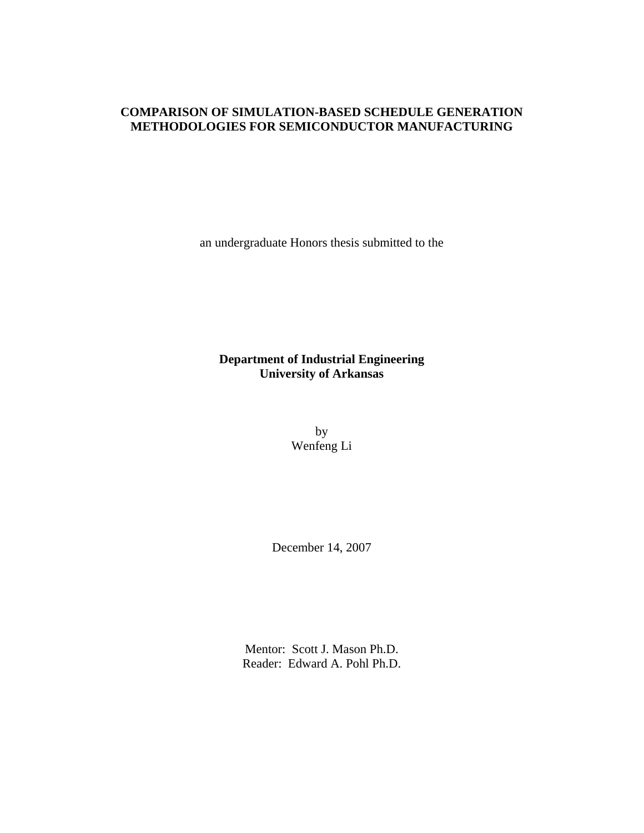# **COMPARISON OF SIMULATION-BASED SCHEDULE GENERATION METHODOLOGIES FOR SEMICONDUCTOR MANUFACTURING**

an undergraduate Honors thesis submitted to the

# **Department of Industrial Engineering University of Arkansas**

by Wenfeng Li

December 14, 2007

Mentor: Scott J. Mason Ph.D. Reader: Edward A. Pohl Ph.D.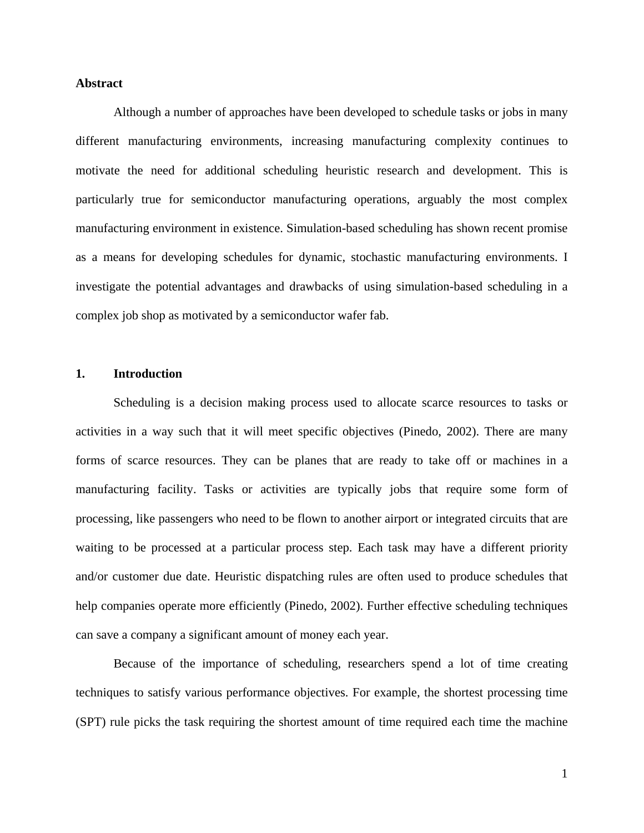#### **Abstract**

Although a number of approaches have been developed to schedule tasks or jobs in many different manufacturing environments, increasing manufacturing complexity continues to motivate the need for additional scheduling heuristic research and development. This is particularly true for semiconductor manufacturing operations, arguably the most complex manufacturing environment in existence. Simulation-based scheduling has shown recent promise as a means for developing schedules for dynamic, stochastic manufacturing environments. I investigate the potential advantages and drawbacks of using simulation-based scheduling in a complex job shop as motivated by a semiconductor wafer fab.

#### **1. Introduction**

Scheduling is a decision making process used to allocate scarce resources to tasks or activities in a way such that it will meet specific objectives (Pinedo, 2002). There are many forms of scarce resources. They can be planes that are ready to take off or machines in a manufacturing facility. Tasks or activities are typically jobs that require some form of processing, like passengers who need to be flown to another airport or integrated circuits that are waiting to be processed at a particular process step. Each task may have a different priority and/or customer due date. Heuristic dispatching rules are often used to produce schedules that help companies operate more efficiently (Pinedo, 2002). Further effective scheduling techniques can save a company a significant amount of money each year.

Because of the importance of scheduling, researchers spend a lot of time creating techniques to satisfy various performance objectives. For example, the shortest processing time (SPT) rule picks the task requiring the shortest amount of time required each time the machine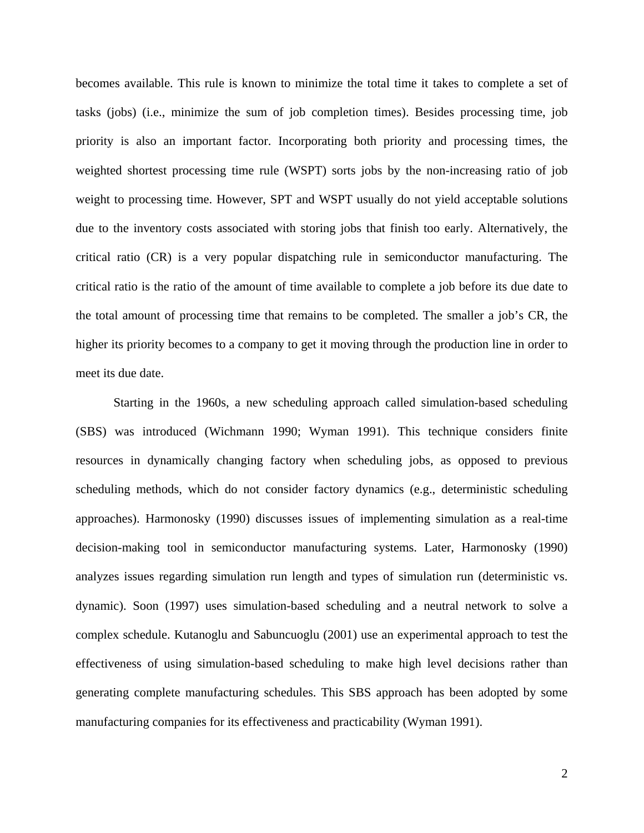becomes available. This rule is known to minimize the total time it takes to complete a set of tasks (jobs) (i.e., minimize the sum of job completion times). Besides processing time, job priority is also an important factor. Incorporating both priority and processing times, the weighted shortest processing time rule (WSPT) sorts jobs by the non-increasing ratio of job weight to processing time. However, SPT and WSPT usually do not yield acceptable solutions due to the inventory costs associated with storing jobs that finish too early. Alternatively, the critical ratio (CR) is a very popular dispatching rule in semiconductor manufacturing. The critical ratio is the ratio of the amount of time available to complete a job before its due date to the total amount of processing time that remains to be completed. The smaller a job's CR, the higher its priority becomes to a company to get it moving through the production line in order to meet its due date.

Starting in the 1960s, a new scheduling approach called simulation-based scheduling (SBS) was introduced (Wichmann 1990; Wyman 1991). This technique considers finite resources in dynamically changing factory when scheduling jobs, as opposed to previous scheduling methods, which do not consider factory dynamics (e.g., deterministic scheduling approaches). Harmonosky (1990) discusses issues of implementing simulation as a real-time decision-making tool in semiconductor manufacturing systems. Later, Harmonosky (1990) analyzes issues regarding simulation run length and types of simulation run (deterministic vs. dynamic). Soon (1997) uses simulation-based scheduling and a neutral network to solve a complex schedule. Kutanoglu and Sabuncuoglu (2001) use an experimental approach to test the effectiveness of using simulation-based scheduling to make high level decisions rather than generating complete manufacturing schedules. This SBS approach has been adopted by some manufacturing companies for its effectiveness and practicability (Wyman 1991).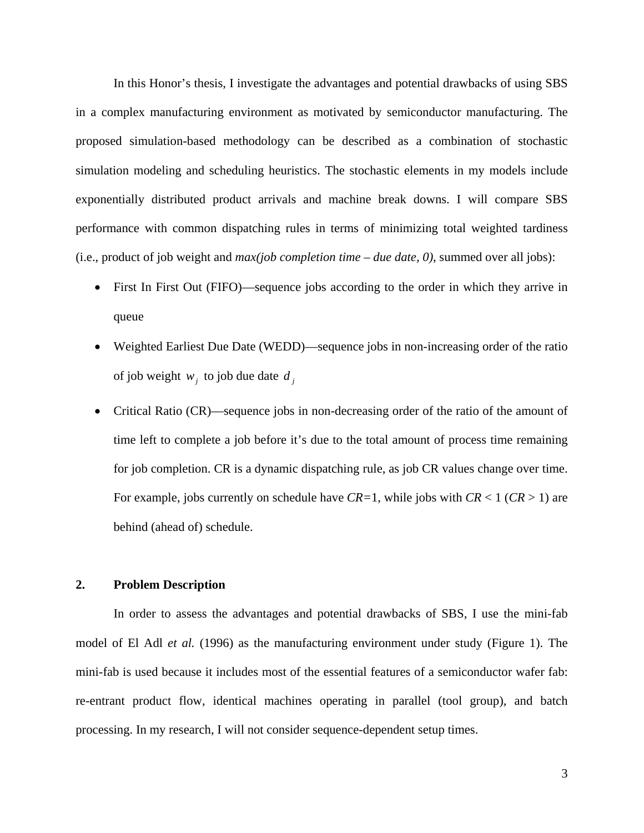In this Honor's thesis, I investigate the advantages and potential drawbacks of using SBS in a complex manufacturing environment as motivated by semiconductor manufacturing. The proposed simulation-based methodology can be described as a combination of stochastic simulation modeling and scheduling heuristics. The stochastic elements in my models include exponentially distributed product arrivals and machine break downs. I will compare SBS performance with common dispatching rules in terms of minimizing total weighted tardiness (i.e., product of job weight and *max(job completion time – due date, 0)*, summed over all jobs):

- First In First Out (FIFO)—sequence jobs according to the order in which they arrive in queue
- Weighted Earliest Due Date (WEDD)—sequence jobs in non-increasing order of the ratio of job weight  $w_i$  to job due date  $d_i$
- Critical Ratio (CR)—sequence jobs in non-decreasing order of the ratio of the amount of time left to complete a job before it's due to the total amount of process time remaining for job completion. CR is a dynamic dispatching rule, as job CR values change over time. For example, jobs currently on schedule have *CR=*1, while jobs with *CR* < 1 (*CR* > 1) are behind (ahead of) schedule.

# **2. Problem Description**

In order to assess the advantages and potential drawbacks of SBS, I use the mini-fab model of El Adl *et al.* (1996) as the manufacturing environment under study (Figure 1). The mini-fab is used because it includes most of the essential features of a semiconductor wafer fab: re-entrant product flow, identical machines operating in parallel (tool group), and batch processing. In my research, I will not consider sequence-dependent setup times.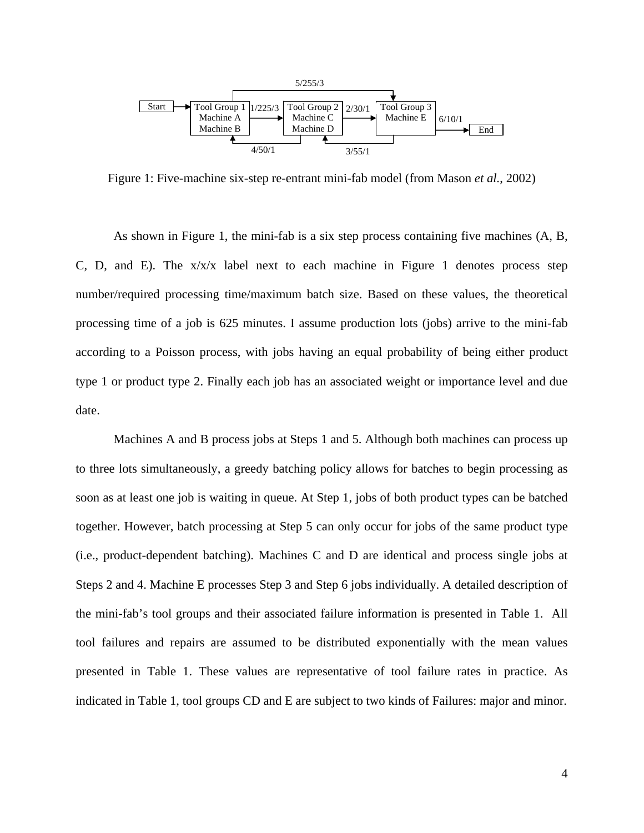

Figure 1: Five-machine six-step re-entrant mini-fab model (from Mason *et al.*, 2002)

As shown in Figure 1, the mini-fab is a six step process containing five machines (A, B, C, D, and E). The  $x/x/x$  label next to each machine in Figure 1 denotes process step number/required processing time/maximum batch size. Based on these values, the theoretical processing time of a job is 625 minutes. I assume production lots (jobs) arrive to the mini-fab according to a Poisson process, with jobs having an equal probability of being either product type 1 or product type 2. Finally each job has an associated weight or importance level and due date.

Machines A and B process jobs at Steps 1 and 5. Although both machines can process up to three lots simultaneously, a greedy batching policy allows for batches to begin processing as soon as at least one job is waiting in queue. At Step 1, jobs of both product types can be batched together. However, batch processing at Step 5 can only occur for jobs of the same product type (i.e., product-dependent batching). Machines C and D are identical and process single jobs at Steps 2 and 4. Machine E processes Step 3 and Step 6 jobs individually. A detailed description of the mini-fab's tool groups and their associated failure information is presented in Table 1. All tool failures and repairs are assumed to be distributed exponentially with the mean values presented in Table 1. These values are representative of tool failure rates in practice. As indicated in Table 1, tool groups CD and E are subject to two kinds of Failures: major and minor.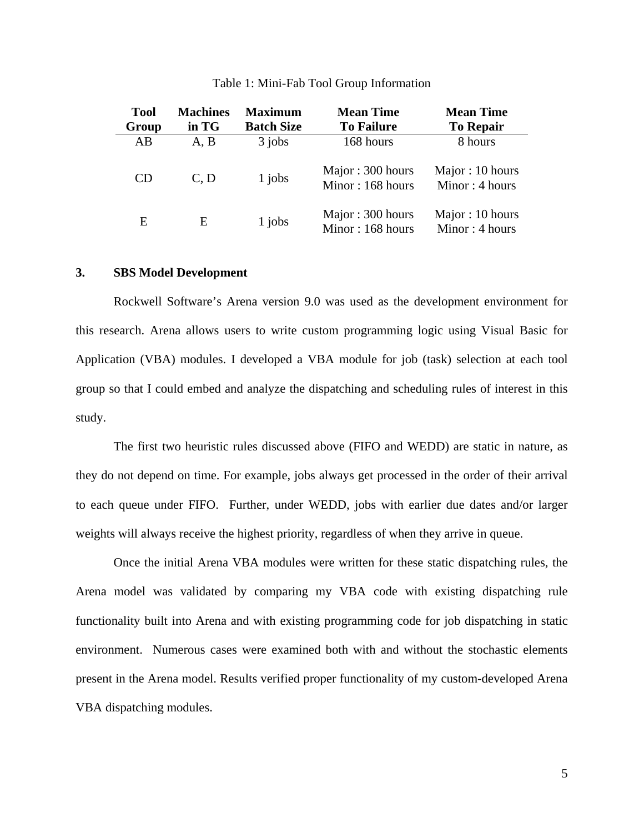| <b>Tool</b><br>Group | <b>Machines</b><br>in TG | <b>Maximum</b><br><b>Batch Size</b> | <b>Mean Time</b><br><b>To Failure</b> | <b>Mean Time</b><br><b>To Repair</b> |
|----------------------|--------------------------|-------------------------------------|---------------------------------------|--------------------------------------|
| AB                   | A, B                     | $3$ jobs                            | 168 hours                             | 8 hours                              |
| <b>CD</b>            | C, D                     | $1$ jobs                            | Major: 300 hours<br>Minor: 168 hours  | Major: 10 hours<br>Minor: 4 hours    |
| E                    | E                        | 1 jobs                              | Major: 300 hours<br>Minor: 168 hours  | Major: 10 hours<br>Minor: 4 hours    |

#### Table 1: Mini-Fab Tool Group Information

#### **3. SBS Model Development**

Rockwell Software's Arena version 9.0 was used as the development environment for this research. Arena allows users to write custom programming logic using Visual Basic for Application (VBA) modules. I developed a VBA module for job (task) selection at each tool group so that I could embed and analyze the dispatching and scheduling rules of interest in this study.

The first two heuristic rules discussed above (FIFO and WEDD) are static in nature, as they do not depend on time. For example, jobs always get processed in the order of their arrival to each queue under FIFO. Further, under WEDD, jobs with earlier due dates and/or larger weights will always receive the highest priority, regardless of when they arrive in queue.

Once the initial Arena VBA modules were written for these static dispatching rules, the Arena model was validated by comparing my VBA code with existing dispatching rule functionality built into Arena and with existing programming code for job dispatching in static environment. Numerous cases were examined both with and without the stochastic elements present in the Arena model. Results verified proper functionality of my custom-developed Arena VBA dispatching modules.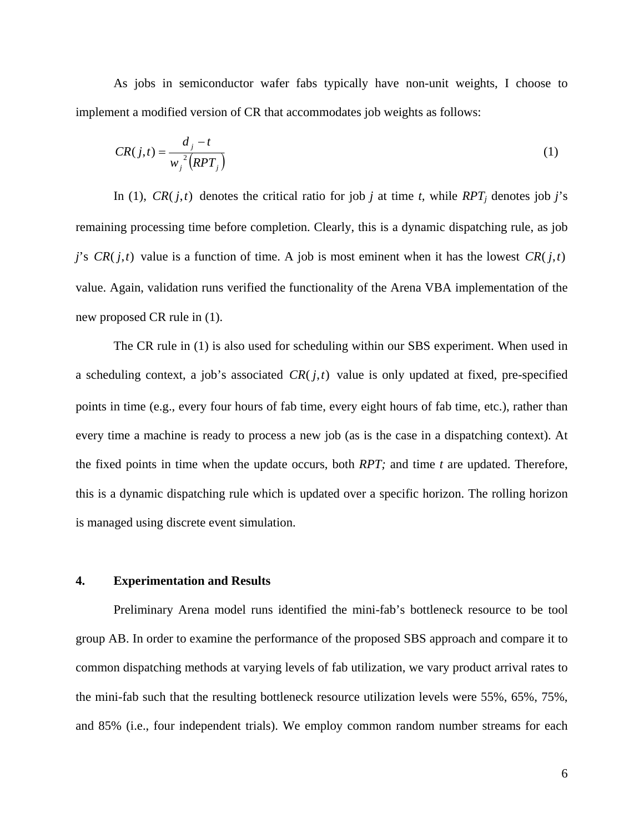As jobs in semiconductor wafer fabs typically have non-unit weights, I choose to implement a modified version of CR that accommodates job weights as follows:

$$
CR(j,t) = \frac{d_j - t}{w_j^2 (RPT_j)}
$$
 (1)

In (1),  $CR(j,t)$  denotes the critical ratio for job *j* at time *t*, while  $RPT<sub>j</sub>$  denotes job *j*'s remaining processing time before completion. Clearly, this is a dynamic dispatching rule, as job *j*'s *CR*( $j$ ,*t*) value is a function of time. A job is most eminent when it has the lowest *CR*( $j$ ,*t*) value. Again, validation runs verified the functionality of the Arena VBA implementation of the new proposed CR rule in (1).

The CR rule in (1) is also used for scheduling within our SBS experiment. When used in a scheduling context, a job's associated  $CR(j, t)$  value is only updated at fixed, pre-specified points in time (e.g., every four hours of fab time, every eight hours of fab time, etc.), rather than every time a machine is ready to process a new job (as is the case in a dispatching context). At the fixed points in time when the update occurs, both *RPT;* and time *t* are updated. Therefore, this is a dynamic dispatching rule which is updated over a specific horizon. The rolling horizon is managed using discrete event simulation.

#### **4. Experimentation and Results**

Preliminary Arena model runs identified the mini-fab's bottleneck resource to be tool group AB. In order to examine the performance of the proposed SBS approach and compare it to common dispatching methods at varying levels of fab utilization, we vary product arrival rates to the mini-fab such that the resulting bottleneck resource utilization levels were 55%, 65%, 75%, and 85% (i.e., four independent trials). We employ common random number streams for each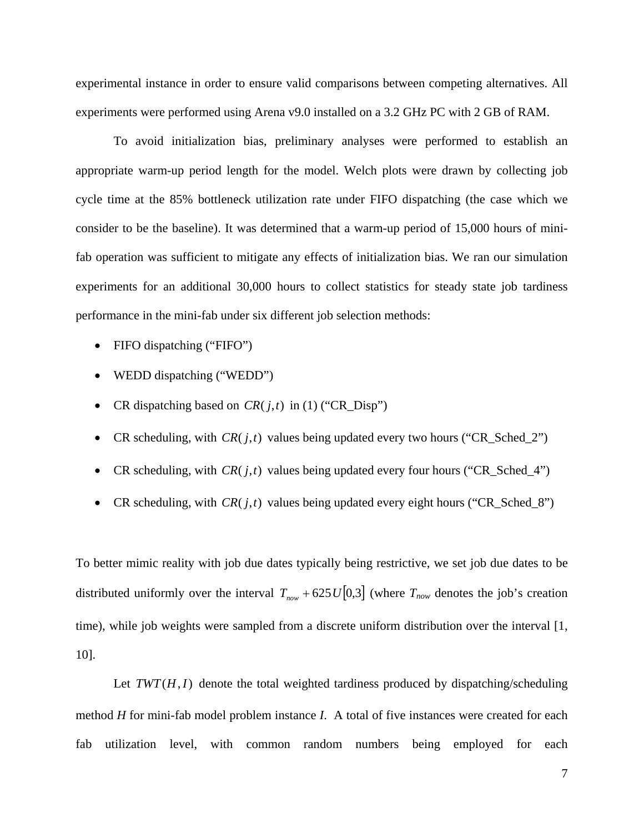experimental instance in order to ensure valid comparisons between competing alternatives. All experiments were performed using Arena v9.0 installed on a 3.2 GHz PC with 2 GB of RAM.

To avoid initialization bias, preliminary analyses were performed to establish an appropriate warm-up period length for the model. Welch plots were drawn by collecting job cycle time at the 85% bottleneck utilization rate under FIFO dispatching (the case which we consider to be the baseline). It was determined that a warm-up period of 15,000 hours of minifab operation was sufficient to mitigate any effects of initialization bias. We ran our simulation experiments for an additional 30,000 hours to collect statistics for steady state job tardiness performance in the mini-fab under six different job selection methods:

- FIFO dispatching ("FIFO")
- WEDD dispatching ("WEDD")
- CR dispatching based on  $CR(j, t)$  in (1) ("CR Disp")
- CR scheduling, with  $CR(j, t)$  values being updated every two hours ("CR\_Sched\_2")
- CR scheduling, with  $CR(j, t)$  values being updated every four hours ("CR\_Sched\_4")
- CR scheduling, with  $CR(j, t)$  values being updated every eight hours ("CR\_Sched\_8")

To better mimic reality with job due dates typically being restrictive, we set job due dates to be distributed uniformly over the interval  $T_{now}$  + 625*U*[0,3] (where  $T_{now}$  denotes the job's creation time), while job weights were sampled from a discrete uniform distribution over the interval [1, 10].

Let  $TWT(H, I)$  denote the total weighted tardiness produced by dispatching/scheduling method *H* for mini-fab model problem instance *I*. A total of five instances were created for each fab utilization level, with common random numbers being employed for each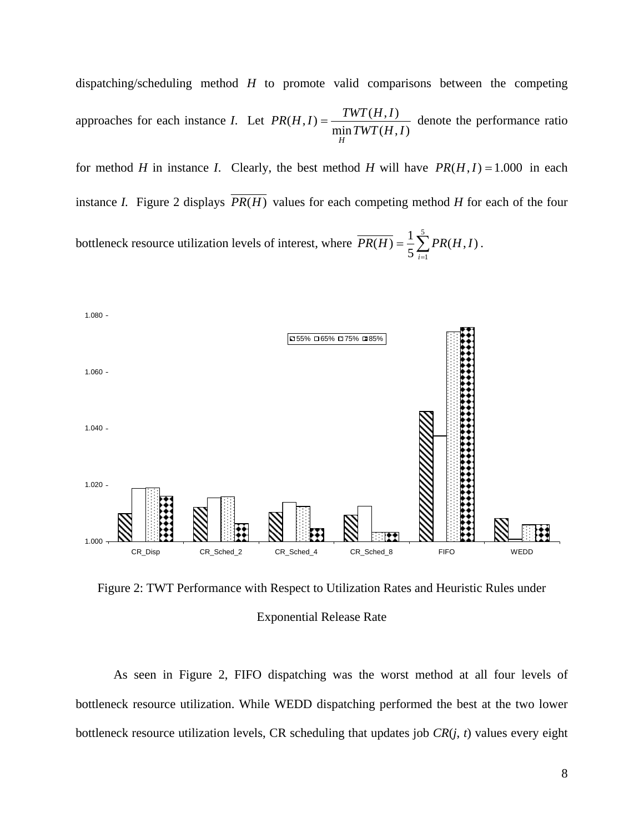dispatching/scheduling method *H* to promote valid comparisons between the competing approaches for each instance *I*. Let  $PR(H, I) = \frac{TWT(H, I)}{\min TWT(H, I)}$ *H*  $=\frac{1}{1} \frac{W_1(1,1)}{W_2(1,1)}$  denote the performance ratio

for method *H* in instance *I*. Clearly, the best method *H* will have  $PR(H, I) = 1.000$  in each instance *I*. Figure 2 displays  $\overline{PR(H)}$  values for each competing method *H* for each of the four bottleneck resource utilization levels of interest, where  $\overline{PR(H)} = \frac{1}{5} \sum_{i=1}^{5}$  $\overline{(H)} = \frac{1}{5} \sum_{i=1}^{5} PR(H, I)$ *i*  $PR(H) = \frac{1}{2} \sum PR(H, I)$ .



Figure 2: TWT Performance with Respect to Utilization Rates and Heuristic Rules under Exponential Release Rate

As seen in Figure 2, FIFO dispatching was the worst method at all four levels of bottleneck resource utilization. While WEDD dispatching performed the best at the two lower bottleneck resource utilization levels, CR scheduling that updates job *CR*(*j*, *t*) values every eight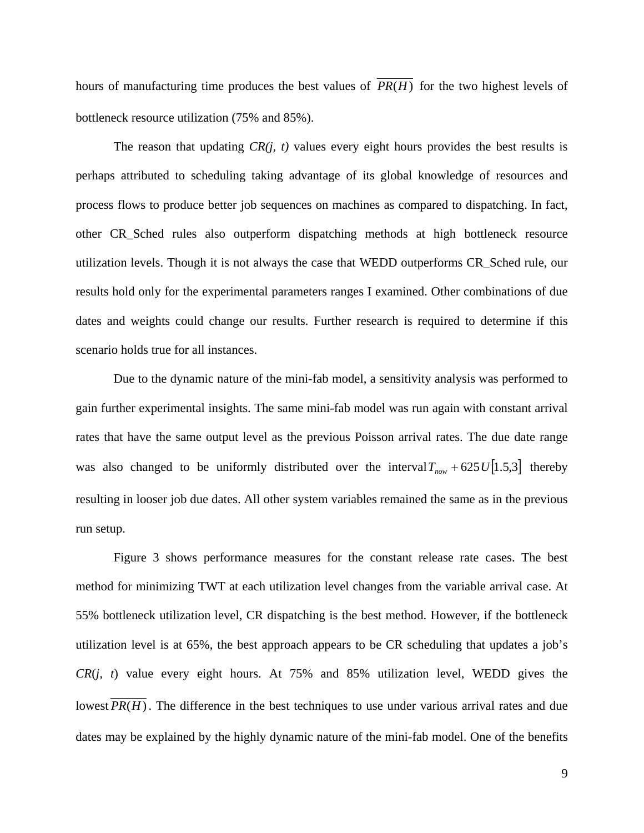hours of manufacturing time produces the best values of  $\overline{PR(H)}$  for the two highest levels of bottleneck resource utilization (75% and 85%).

The reason that updating *CR(j, t)* values every eight hours provides the best results is perhaps attributed to scheduling taking advantage of its global knowledge of resources and process flows to produce better job sequences on machines as compared to dispatching. In fact, other CR\_Sched rules also outperform dispatching methods at high bottleneck resource utilization levels. Though it is not always the case that WEDD outperforms CR\_Sched rule, our results hold only for the experimental parameters ranges I examined. Other combinations of due dates and weights could change our results. Further research is required to determine if this scenario holds true for all instances.

Due to the dynamic nature of the mini-fab model, a sensitivity analysis was performed to gain further experimental insights. The same mini-fab model was run again with constant arrival rates that have the same output level as the previous Poisson arrival rates. The due date range was also changed to be uniformly distributed over the interval  $T_{now}$  + 625*U*[1.5,3] thereby resulting in looser job due dates. All other system variables remained the same as in the previous run setup.

Figure 3 shows performance measures for the constant release rate cases. The best method for minimizing TWT at each utilization level changes from the variable arrival case. At 55% bottleneck utilization level, CR dispatching is the best method. However, if the bottleneck utilization level is at 65%, the best approach appears to be CR scheduling that updates a job's *CR*(*j, t*) value every eight hours. At 75% and 85% utilization level, WEDD gives the lowest  $\overline{PR(H)}$ . The difference in the best techniques to use under various arrival rates and due dates may be explained by the highly dynamic nature of the mini-fab model. One of the benefits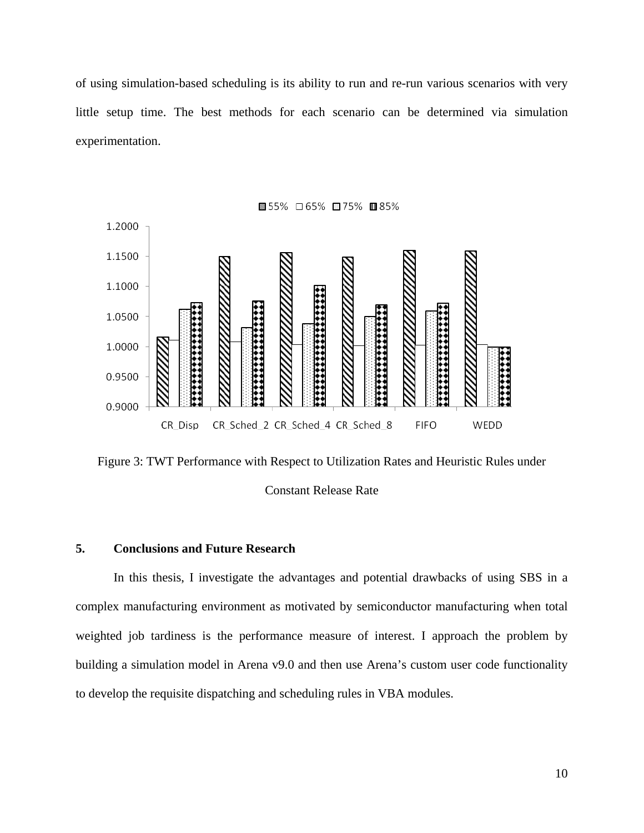of using simulation-based scheduling is its ability to run and re-run various scenarios with very little setup time. The best methods for each scenario can be determined via simulation experimentation.



Figure 3: TWT Performance with Respect to Utilization Rates and Heuristic Rules under Constant Release Rate

# **5. Conclusions and Future Research**

In this thesis, I investigate the advantages and potential drawbacks of using SBS in a complex manufacturing environment as motivated by semiconductor manufacturing when total weighted job tardiness is the performance measure of interest. I approach the problem by building a simulation model in Arena v9.0 and then use Arena's custom user code functionality to develop the requisite dispatching and scheduling rules in VBA modules.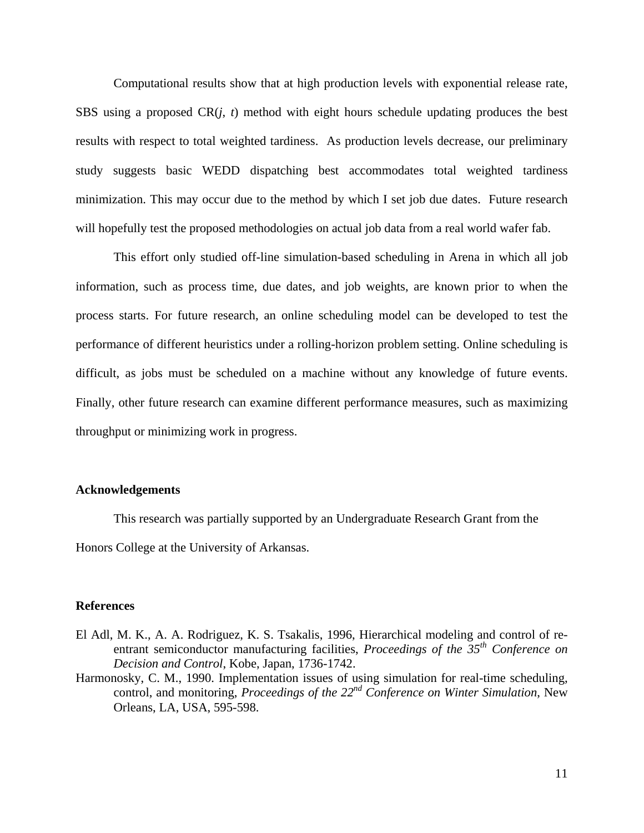Computational results show that at high production levels with exponential release rate, SBS using a proposed CR(*j*, *t*) method with eight hours schedule updating produces the best results with respect to total weighted tardiness. As production levels decrease, our preliminary study suggests basic WEDD dispatching best accommodates total weighted tardiness minimization. This may occur due to the method by which I set job due dates. Future research will hopefully test the proposed methodologies on actual job data from a real world wafer fab.

This effort only studied off-line simulation-based scheduling in Arena in which all job information, such as process time, due dates, and job weights, are known prior to when the process starts. For future research, an online scheduling model can be developed to test the performance of different heuristics under a rolling-horizon problem setting. Online scheduling is difficult, as jobs must be scheduled on a machine without any knowledge of future events. Finally, other future research can examine different performance measures, such as maximizing throughput or minimizing work in progress.

### **Acknowledgements**

This research was partially supported by an Undergraduate Research Grant from the Honors College at the University of Arkansas.

#### **References**

- El Adl, M. K., A. A. Rodriguez, K. S. Tsakalis, 1996, Hierarchical modeling and control of reentrant semiconductor manufacturing facilities, *Proceedings of the 35th Conference on Decision and Control*, Kobe, Japan, 1736-1742.
- Harmonosky, C. M., 1990. Implementation issues of using simulation for real-time scheduling, control, and monitoring, *Proceedings of the 22nd Conference on Winter Simulation*, New Orleans, LA, USA, 595-598.